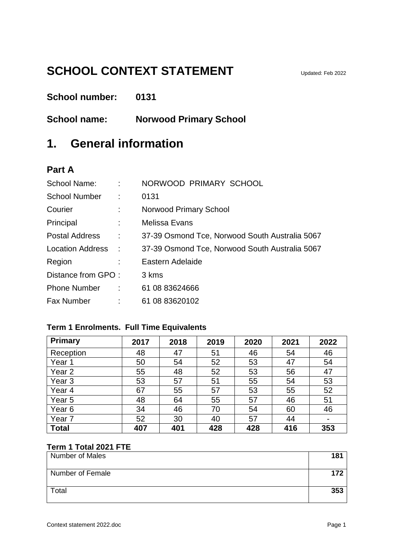# **SCHOOL CONTEXT STATEMENT** Updated: Feb 2022

**School number: 0131**

**School name: Norwood Primary School**

## **1. General information**

#### **Part A**

| School Name:          | $\Delta \sim 10$     | NORWOOD PRIMARY SCHOOL                         |
|-----------------------|----------------------|------------------------------------------------|
| <b>School Number</b>  | - 1                  | 0131                                           |
| Courier               | ÷                    | Norwood Primary School                         |
| Principal             |                      | Melissa Evans                                  |
| <b>Postal Address</b> | ÷                    | 37-39 Osmond Tce, Norwood South Australia 5067 |
| Location Address :    |                      | 37-39 Osmond Tce, Norwood South Australia 5067 |
| Region                |                      | Eastern Adelaide                               |
| Distance from GPO:    |                      | 3 kms                                          |
| <b>Phone Number</b>   | $\ddot{\phantom{a}}$ | 61 08 83624666                                 |
| <b>Fax Number</b>     |                      | 61 08 83620102                                 |

#### **Term 1 Enrolments. Full Time Equivalents**

| <b>Primary</b>    | 2017 | 2018 | 2019 | 2020 | 2021 | 2022 |
|-------------------|------|------|------|------|------|------|
| Reception         | 48   | 47   | 51   | 46   | 54   | 46   |
| Year 1            | 50   | 54   | 52   | 53   | 47   | 54   |
| Year <sub>2</sub> | 55   | 48   | 52   | 53   | 56   | 47   |
| Year <sub>3</sub> | 53   | 57   | 51   | 55   | 54   | 53   |
| Year <sub>4</sub> | 67   | 55   | 57   | 53   | 55   | 52   |
| Year <sub>5</sub> | 48   | 64   | 55   | 57   | 46   | 51   |
| Year <sub>6</sub> | 34   | 46   | 70   | 54   | 60   | 46   |
| Year 7            | 52   | 30   | 40   | 57   | 44   |      |
| <b>Total</b>      | 407  | 401  | 428  | 428  | 416  | 353  |

#### **Term 1 Total 2021 FTE**

| <b>Number of Males</b> | 181 |
|------------------------|-----|
| Number of Female       |     |
| Total                  | 353 |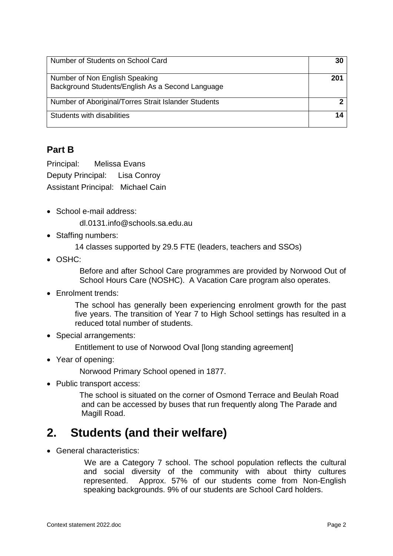| Number of Students on School Card                                                  | 30  |
|------------------------------------------------------------------------------------|-----|
| Number of Non English Speaking<br>Background Students/English As a Second Language | 201 |
| Number of Aboriginal/Torres Strait Islander Students                               |     |
| Students with disabilities                                                         | 14  |

#### **Part B**

Principal: Melissa Evans Deputy Principal: Lisa Conroy Assistant Principal: Michael Cain

• School e-mail address:

dl.0131.info@schools.sa.edu.au

- Staffing numbers:
	- 14 classes supported by 29.5 FTE (leaders, teachers and SSOs)
- OSHC:

Before and after School Care programmes are provided by Norwood Out of School Hours Care (NOSHC). A Vacation Care program also operates.

• Enrolment trends:

The school has generally been experiencing enrolment growth for the past five years. The transition of Year 7 to High School settings has resulted in a reduced total number of students.

• Special arrangements:

Entitlement to use of Norwood Oval [long standing agreement]

Year of opening:

Norwood Primary School opened in 1877.

• Public transport access:

The school is situated on the corner of Osmond Terrace and Beulah Road and can be accessed by buses that run frequently along The Parade and Magill Road.

## **2. Students (and their welfare)**

General characteristics:

We are a Category 7 school. The school population reflects the cultural and social diversity of the community with about thirty cultures represented. Approx. 57% of our students come from Non-English speaking backgrounds. 9% of our students are School Card holders.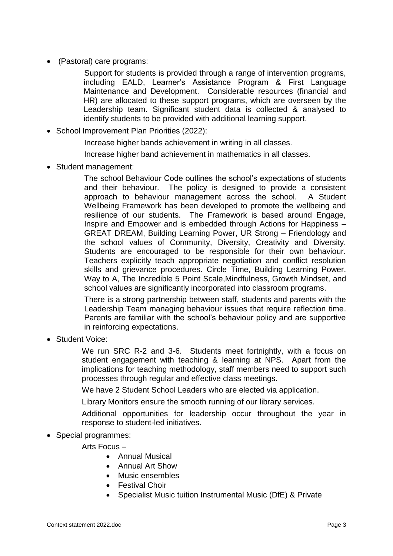(Pastoral) care programs:

Support for students is provided through a range of intervention programs, including EALD, Learner's Assistance Program & First Language Maintenance and Development. Considerable resources (financial and HR) are allocated to these support programs, which are overseen by the Leadership team. Significant student data is collected & analysed to identify students to be provided with additional learning support.

- School Improvement Plan Priorities (2022):
	- Increase higher bands achievement in writing in all classes.
	- Increase higher band achievement in mathematics in all classes.
- Student management:

The school Behaviour Code outlines the school's expectations of students and their behaviour. The policy is designed to provide a consistent approach to behaviour management across the school. A Student Wellbeing Framework has been developed to promote the wellbeing and resilience of our students. The Framework is based around Engage, Inspire and Empower and is embedded through Actions for Happiness – GREAT DREAM, Building Learning Power, UR Strong – Friendology and the school values of Community, Diversity, Creativity and Diversity. Students are encouraged to be responsible for their own behaviour. Teachers explicitly teach appropriate negotiation and conflict resolution skills and grievance procedures. Circle Time, Building Learning Power, Way to A, The Incredible 5 Point Scale,Mindfulness, Growth Mindset, and school values are significantly incorporated into classroom programs.

There is a strong partnership between staff, students and parents with the Leadership Team managing behaviour issues that require reflection time. Parents are familiar with the school's behaviour policy and are supportive in reinforcing expectations.

Student Voice:

We run SRC R-2 and 3-6. Students meet fortnightly, with a focus on student engagement with teaching & learning at NPS. Apart from the implications for teaching methodology, staff members need to support such processes through regular and effective class meetings.

We have 2 Student School Leaders who are elected via application.

Library Monitors ensure the smooth running of our library services.

Additional opportunities for leadership occur throughout the year in response to student-led initiatives.

• Special programmes:

Arts Focus –

- Annual Musical
- Annual Art Show
- Music ensembles
- Festival Choir
- Specialist Music tuition Instrumental Music (DfE) & Private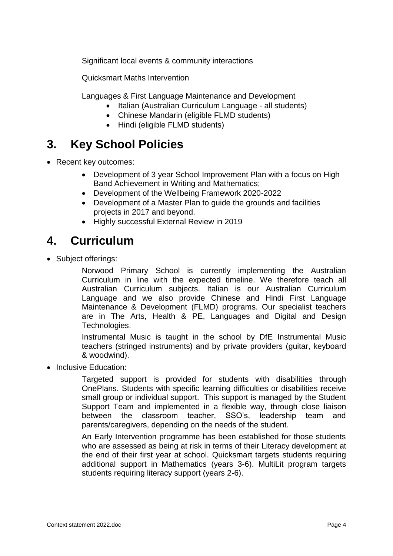Significant local events & community interactions

Quicksmart Maths Intervention

Languages & First Language Maintenance and Development

- Italian (Australian Curriculum Language all students)
- Chinese Mandarin (eligible FLMD students)
- Hindi (eligible FLMD students)

# **3. Key School Policies**

- Recent key outcomes:
	- Development of 3 year School Improvement Plan with a focus on High Band Achievement in Writing and Mathematics;
	- Development of the Wellbeing Framework 2020-2022
	- Development of a Master Plan to guide the grounds and facilities projects in 2017 and beyond.
	- Highly successful External Review in 2019

# **4. Curriculum**

• Subject offerings:

Norwood Primary School is currently implementing the Australian Curriculum in line with the expected timeline. We therefore teach all Australian Curriculum subjects. Italian is our Australian Curriculum Language and we also provide Chinese and Hindi First Language Maintenance & Development (FLMD) programs. Our specialist teachers are in The Arts, Health & PE, Languages and Digital and Design Technologies.

Instrumental Music is taught in the school by DfE Instrumental Music teachers (stringed instruments) and by private providers (guitar, keyboard & woodwind).

• Inclusive Education:

Targeted support is provided for students with disabilities through OnePlans. Students with specific learning difficulties or disabilities receive small group or individual support. This support is managed by the Student Support Team and implemented in a flexible way, through close liaison between the classroom teacher, SSO's, leadership team and parents/caregivers, depending on the needs of the student.

An Early Intervention programme has been established for those students who are assessed as being at risk in terms of their Literacy development at the end of their first year at school. Quicksmart targets students requiring additional support in Mathematics (years 3-6). MultiLit program targets students requiring literacy support (years 2-6).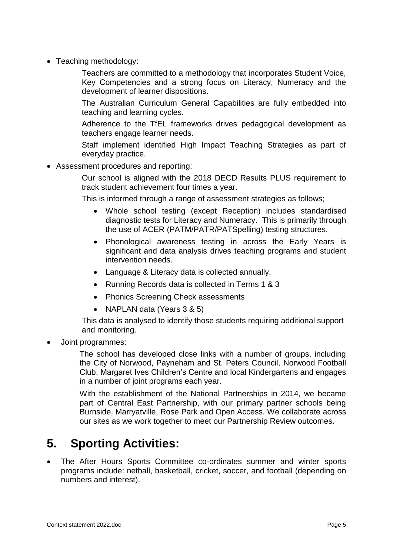• Teaching methodology:

Teachers are committed to a methodology that incorporates Student Voice, Key Competencies and a strong focus on Literacy, Numeracy and the development of learner dispositions.

The Australian Curriculum General Capabilities are fully embedded into teaching and learning cycles.

Adherence to the TfEL frameworks drives pedagogical development as teachers engage learner needs.

Staff implement identified High Impact Teaching Strategies as part of everyday practice.

Assessment procedures and reporting:

Our school is aligned with the 2018 DECD Results PLUS requirement to track student achievement four times a year.

This is informed through a range of assessment strategies as follows;

- Whole school testing (except Reception) includes standardised diagnostic tests for Literacy and Numeracy. This is primarily through the use of ACER (PATM/PATR/PATSpelling) testing structures.
- Phonological awareness testing in across the Early Years is significant and data analysis drives teaching programs and student intervention needs.
- Language & Literacy data is collected annually.
- Running Records data is collected in Terms 1 & 3
- Phonics Screening Check assessments
- NAPLAN data (Years 3 & 5)

This data is analysed to identify those students requiring additional support and monitoring.

Joint programmes:

The school has developed close links with a number of groups, including the City of Norwood, Payneham and St. Peters Council, Norwood Football Club, Margaret Ives Children's Centre and local Kindergartens and engages in a number of joint programs each year.

With the establishment of the National Partnerships in 2014, we became part of Central East Partnership, with our primary partner schools being Burnside, Marryatville, Rose Park and Open Access. We collaborate across our sites as we work together to meet our Partnership Review outcomes.

## **5. Sporting Activities:**

 The After Hours Sports Committee co-ordinates summer and winter sports programs include: netball, basketball, cricket, soccer, and football (depending on numbers and interest).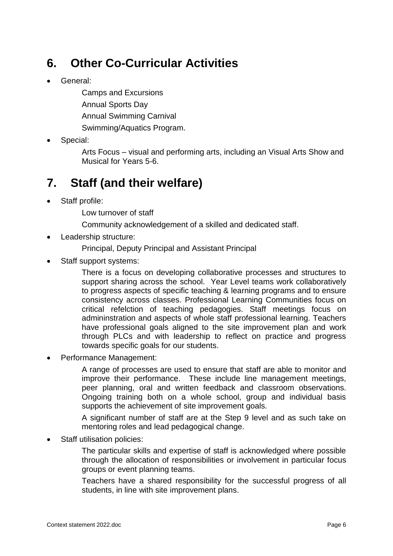# **6. Other Co-Curricular Activities**

General:

Camps and Excursions Annual Sports Day Annual Swimming Carnival Swimming/Aquatics Program.

Special:

Arts Focus – visual and performing arts, including an Visual Arts Show and Musical for Years 5-6.

# **7. Staff (and their welfare)**

Staff profile:

Low turnover of staff

Community acknowledgement of a skilled and dedicated staff.

Leadership structure:

Principal, Deputy Principal and Assistant Principal

Staff support systems:

There is a focus on developing collaborative processes and structures to support sharing across the school. Year Level teams work collaboratively to progress aspects of specific teaching & learning programs and to ensure consistency across classes. Professional Learning Communities focus on critical refelction of teaching pedagogies. Staff meetings focus on admininstration and aspects of whole staff professional learning. Teachers have professional goals aligned to the site improvement plan and work through PLCs and with leadership to reflect on practice and progress towards specific goals for our students.

Performance Management:

A range of processes are used to ensure that staff are able to monitor and improve their performance. These include line management meetings, peer planning, oral and written feedback and classroom observations. Ongoing training both on a whole school, group and individual basis supports the achievement of site improvement goals.

A significant number of staff are at the Step 9 level and as such take on mentoring roles and lead pedagogical change.

Staff utilisation policies:

The particular skills and expertise of staff is acknowledged where possible through the allocation of responsibilities or involvement in particular focus groups or event planning teams.

Teachers have a shared responsibility for the successful progress of all students, in line with site improvement plans.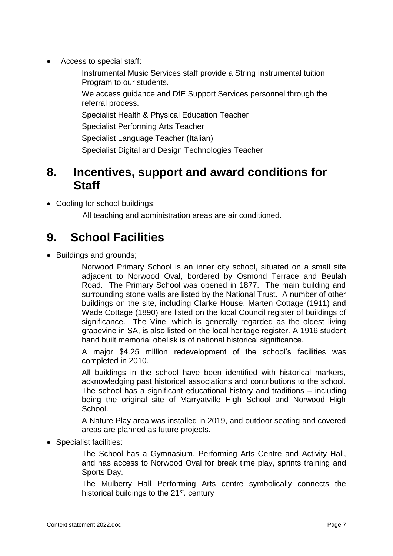- Access to special staff:
	- Instrumental Music Services staff provide a String Instrumental tuition Program to our students.
	- We access guidance and DfE Support Services personnel through the referral process.
	- Specialist Health & Physical Education Teacher
	- Specialist Performing Arts Teacher
	- Specialist Language Teacher (Italian)
	- Specialist Digital and Design Technologies Teacher

## **8. Incentives, support and award conditions for Staff**

• Cooling for school buildings:

All teaching and administration areas are air conditioned.

# **9. School Facilities**

• Buildings and grounds;

Norwood Primary School is an inner city school, situated on a small site adjacent to Norwood Oval, bordered by Osmond Terrace and Beulah Road. The Primary School was opened in 1877. The main building and surrounding stone walls are listed by the National Trust. A number of other buildings on the site, including Clarke House, Marten Cottage (1911) and Wade Cottage (1890) are listed on the local Council register of buildings of significance. The Vine, which is generally regarded as the oldest living grapevine in SA, is also listed on the local heritage register. A 1916 student hand built memorial obelisk is of national historical significance.

A major \$4.25 million redevelopment of the school's facilities was completed in 2010.

All buildings in the school have been identified with historical markers, acknowledging past historical associations and contributions to the school. The school has a significant educational history and traditions – including being the original site of Marryatville High School and Norwood High School.

A Nature Play area was installed in 2019, and outdoor seating and covered areas are planned as future projects.

• Specialist facilities:

The School has a Gymnasium, Performing Arts Centre and Activity Hall, and has access to Norwood Oval for break time play, sprints training and Sports Day.

The Mulberry Hall Performing Arts centre symbolically connects the historical buildings to the 21<sup>st</sup>. century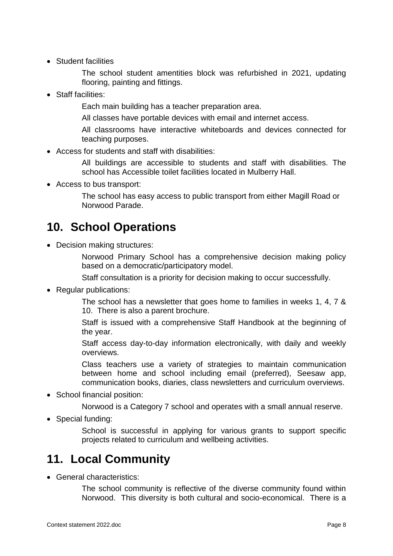• Student facilities

The school student amentities block was refurbished in 2021, updating flooring, painting and fittings.

• Staff facilities:

Each main building has a teacher preparation area.

All classes have portable devices with email and internet access.

All classrooms have interactive whiteboards and devices connected for teaching purposes.

Access for students and staff with disabilities:

All buildings are accessible to students and staff with disabilities. The school has Accessible toilet facilities located in Mulberry Hall.

Access to bus transport:

The school has easy access to public transport from either Magill Road or Norwood Parade.

## **10. School Operations**

• Decision making structures:

Norwood Primary School has a comprehensive decision making policy based on a democratic/participatory model.

Staff consultation is a priority for decision making to occur successfully.

• Regular publications:

The school has a newsletter that goes home to families in weeks 1, 4, 7 & 10. There is also a parent brochure.

Staff is issued with a comprehensive Staff Handbook at the beginning of the year.

Staff access day-to-day information electronically, with daily and weekly overviews.

Class teachers use a variety of strategies to maintain communication between home and school including email (preferred), Seesaw app, communication books, diaries, class newsletters and curriculum overviews.

• School financial position:

Norwood is a Category 7 school and operates with a small annual reserve.

• Special funding:

School is successful in applying for various grants to support specific projects related to curriculum and wellbeing activities.

#### **11. Local Community**

General characteristics:

The school community is reflective of the diverse community found within Norwood. This diversity is both cultural and socio-economical. There is a